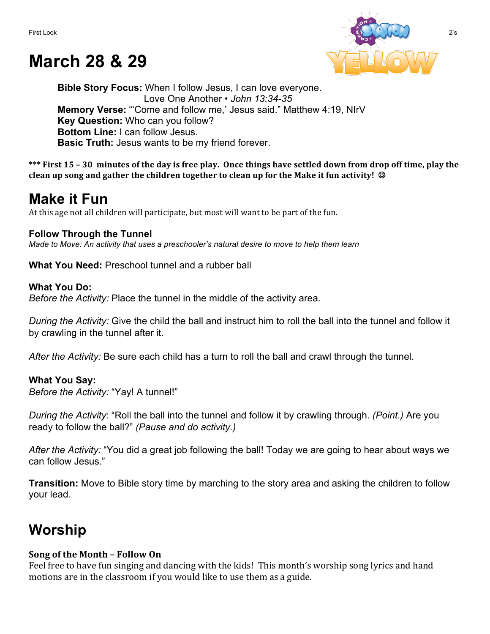# **March 28 & 29**



**Bible Story Focus:** When I follow Jesus, I can love everyone. Love One Another • *John 13:34-35* **Memory Verse:** "'Come and follow me,' Jesus said." Matthew 4:19, NIrV **Key Question:** Who can you follow? **Bottom Line:** I can follow Jesus. **Basic Truth:** Jesus wants to be my friend forever.

\*\*\* First 15 – 30 minutes of the day is free play. Once things have settled down from drop off time, play the **clean up song and gather the children together to clean up for the Make it fun activity!** ©

### **Make it Fun**

At this age not all children will participate, but most will want to be part of the fun.

#### **Follow Through the Tunnel**

*Made to Move: An activity that uses a preschooler's natural desire to move to help them learn*

**What You Need:** Preschool tunnel and a rubber ball

#### **What You Do:**

*Before the Activity:* Place the tunnel in the middle of the activity area.

*During the Activity:* Give the child the ball and instruct him to roll the ball into the tunnel and follow it by crawling in the tunnel after it.

*After the Activity:* Be sure each child has a turn to roll the ball and crawl through the tunnel.

#### **What You Say:**

*Before the Activity:* "Yay! A tunnel!"

*During the Activity*: "Roll the ball into the tunnel and follow it by crawling through. *(Point.)* Are you ready to follow the ball?" *(Pause and do activity.)*

*After the Activity:* "You did a great job following the ball! Today we are going to hear about ways we can follow Jesus."

**Transition:** Move to Bible story time by marching to the story area and asking the children to follow your lead.

## **Worship**

#### **Song of the Month – Follow On**

Feel free to have fun singing and dancing with the kids! This month's worship song lyrics and hand motions are in the classroom if you would like to use them as a guide.